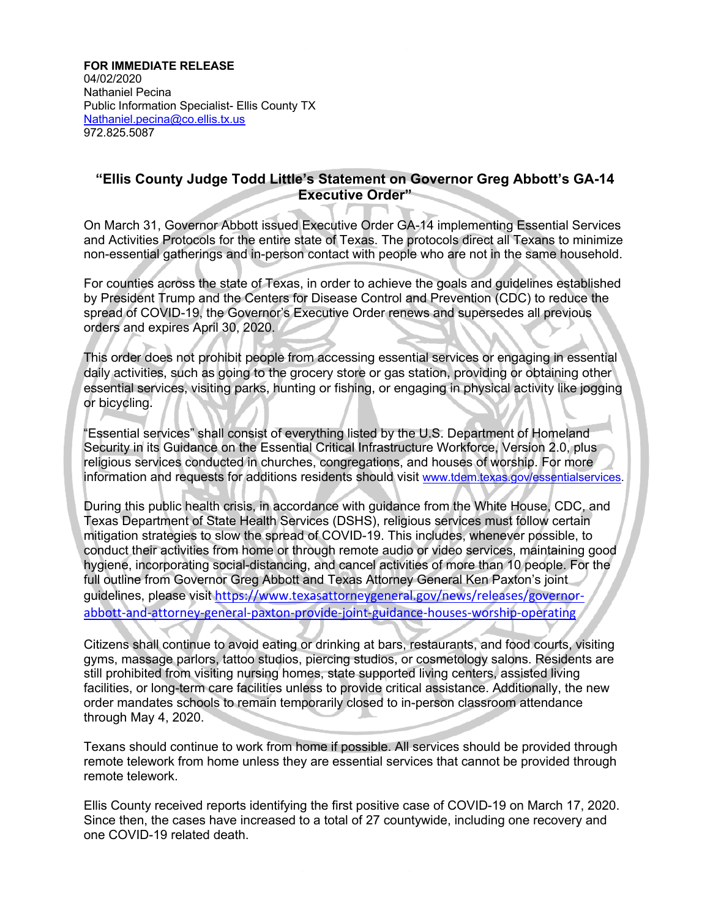**FOR IMMEDIATE RELEASE**

04/02/2020 Nathaniel Pecina Public Information Specialist- Ellis County TX Nathaniel.pecina@co.ellis.tx.us 972.825.5087

## **"Ellis County Judge Todd Little's Statement on Governor Greg Abbott's GA-14 Executive Order"**

On March 31, Governor Abbott issued Executive Order GA-14 implementing Essential Services and Activities Protocols for the entire state of Texas. The protocols direct all Texans to minimize non-essential gatherings and in-person contact with people who are not in the same household.

For counties across the state of Texas, in order to achieve the goals and guidelines established by President Trump and the Centers for Disease Control and Prevention (CDC) to reduce the spread of COVID-19, the Governor's Executive Order renews and supersedes all previous orders and expires April 30, 2020.

This order does not prohibit people from accessing essential services or engaging in essential daily activities, such as going to the grocery store or gas station, providing or obtaining other essential services, visiting parks, hunting or fishing, or engaging in physical activity like jogging or bicycling.

"Essential services" shall consist of everything listed by the U.S. Department of Homeland Security in its Guidance on the Essential Critical Infrastructure Workforce, Version 2.0, plus religious services conducted in churches, congregations, and houses of worship. For more information and requests for additions residents should visit www.tdem.texas.gov/essentialservices.

During this public health crisis, in accordance with guidance from the White House, CDC, and Texas Department of State Health Services (DSHS), religious services must follow certain mitigation strategies to slow the spread of COVID-19. This includes, whenever possible, to conduct their activities from home or through remote audio or video services, maintaining good hygiene, incorporating social-distancing, and cancel activities of more than 10 people. For the full outline from Governor Greg Abbott and Texas Attorney General Ken Paxton's joint guidelines, please visit https://www.texasattorneygeneral.gov/news/releases/governorabbott-and-attorney-general-paxton-provide-joint-guidance-houses-worship-operating

Citizens shall continue to avoid eating or drinking at bars, restaurants, and food courts, visiting gyms, massage parlors, tattoo studios, piercing studios, or cosmetology salons. Residents are still prohibited from visiting nursing homes, state supported living centers, assisted living facilities, or long-term care facilities unless to provide critical assistance. Additionally, the new order mandates schools to remain temporarily closed to in-person classroom attendance through May 4, 2020.

Texans should continue to work from home if possible. All services should be provided through remote telework from home unless they are essential services that cannot be provided through remote telework.

Ellis County received reports identifying the first positive case of COVID-19 on March 17, 2020. Since then, the cases have increased to a total of 27 countywide, including one recovery and one COVID-19 related death.